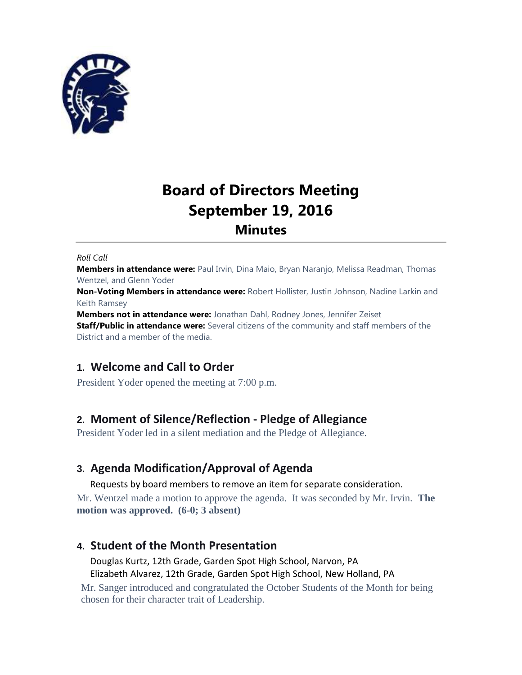

# **Board of Directors Meeting September 19, 2016 Minutes**

#### *Roll Call*

**Members in attendance were:** Paul Irvin, Dina Maio, Bryan Naranjo, Melissa Readman, Thomas Wentzel, and Glenn Yoder

**Non-Voting Members in attendance were:** Robert Hollister, Justin Johnson, Nadine Larkin and Keith Ramsey

**Members not in attendance were:** Jonathan Dahl, Rodney Jones, Jennifer Zeiset **Staff/Public in attendance were:** Several citizens of the community and staff members of the District and a member of the media.

# **1. Welcome and Call to Order**

President Yoder opened the meeting at 7:00 p.m.

# **2. Moment of Silence/Reflection - Pledge of Allegiance**

President Yoder led in a silent mediation and the Pledge of Allegiance.

# **3. Agenda Modification/Approval of Agenda**

Requests by board members to remove an item for separate consideration.

Mr. Wentzel made a motion to approve the agenda. It was seconded by Mr. Irvin. **The motion was approved. (6-0; 3 absent)**

## **4. Student of the Month Presentation**

Douglas Kurtz, 12th Grade, Garden Spot High School, Narvon, PA Elizabeth Alvarez, 12th Grade, Garden Spot High School, New Holland, PA

Mr. Sanger introduced and congratulated the October Students of the Month for being chosen for their character trait of Leadership.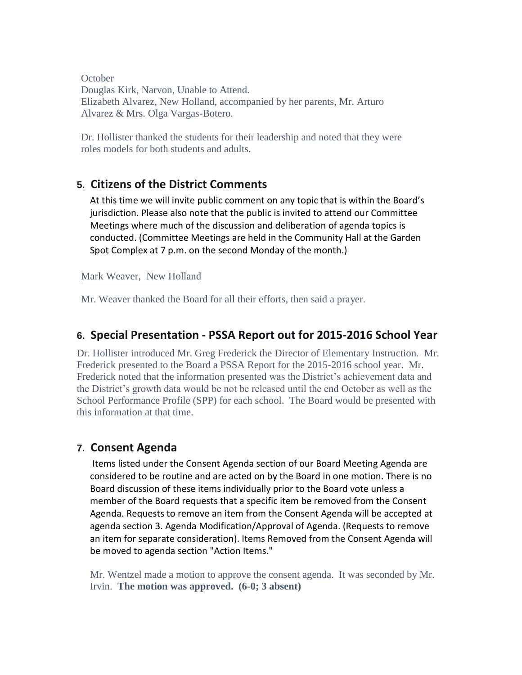**October** Douglas Kirk, Narvon, Unable to Attend. Elizabeth Alvarez, New Holland, accompanied by her parents, Mr. Arturo Alvarez & Mrs. Olga Vargas-Botero.

Dr. Hollister thanked the students for their leadership and noted that they were roles models for both students and adults.

## **5. Citizens of the District Comments**

At this time we will invite public comment on any topic that is within the Board's jurisdiction. Please also note that the public is invited to attend our Committee Meetings where much of the discussion and deliberation of agenda topics is conducted. (Committee Meetings are held in the Community Hall at the Garden Spot Complex at 7 p.m. on the second Monday of the month.)

## Mark Weaver, New Holland

Mr. Weaver thanked the Board for all their efforts, then said a prayer.

# **6. Special Presentation - PSSA Report out for 2015-2016 School Year**

Dr. Hollister introduced Mr. Greg Frederick the Director of Elementary Instruction. Mr. Frederick presented to the Board a PSSA Report for the 2015-2016 school year. Mr. Frederick noted that the information presented was the District's achievement data and the District's growth data would be not be released until the end October as well as the School Performance Profile (SPP) for each school. The Board would be presented with this information at that time.

## **7. Consent Agenda**

Items listed under the Consent Agenda section of our Board Meeting Agenda are considered to be routine and are acted on by the Board in one motion. There is no Board discussion of these items individually prior to the Board vote unless a member of the Board requests that a specific item be removed from the Consent Agenda. Requests to remove an item from the Consent Agenda will be accepted at agenda section 3. Agenda Modification/Approval of Agenda. (Requests to remove an item for separate consideration). Items Removed from the Consent Agenda will be moved to agenda section "Action Items."

Mr. Wentzel made a motion to approve the consent agenda. It was seconded by Mr. Irvin. **The motion was approved. (6-0; 3 absent)**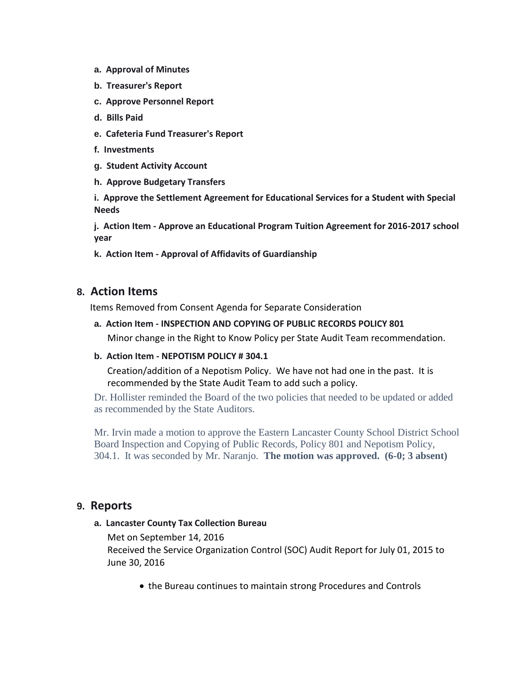- **a. Approval of Minutes**
- **b. Treasurer's Report**
- **c. Approve Personnel Report**
- **d. Bills Paid**
- **e. Cafeteria Fund Treasurer's Report**
- **f. Investments**
- **g. Student Activity Account**
- **h. Approve Budgetary Transfers**

**i. Approve the Settlement Agreement for Educational Services for a Student with Special Needs**

**j. Action Item - Approve an Educational Program Tuition Agreement for 2016-2017 school year**

**k. Action Item - Approval of Affidavits of Guardianship**

## **8. Action Items**

Items Removed from Consent Agenda for Separate Consideration

**a. Action Item - INSPECTION AND COPYING OF PUBLIC RECORDS POLICY 801**

Minor change in the Right to Know Policy per State Audit Team recommendation.

**b. Action Item - NEPOTISM POLICY # 304.1**

Creation/addition of a Nepotism Policy. We have not had one in the past. It is recommended by the State Audit Team to add such a policy.

Dr. Hollister reminded the Board of the two policies that needed to be updated or added as recommended by the State Auditors.

Mr. Irvin made a motion to approve the Eastern Lancaster County School District School Board Inspection and Copying of Public Records, Policy 801 and Nepotism Policy, 304.1. It was seconded by Mr. Naranjo. **The motion was approved. (6-0; 3 absent)**

## **9. Reports**

#### **a. Lancaster County Tax Collection Bureau**

Met on September 14, 2016

Received the Service Organization Control (SOC) Audit Report for July 01, 2015 to June 30, 2016

the Bureau continues to maintain strong Procedures and Controls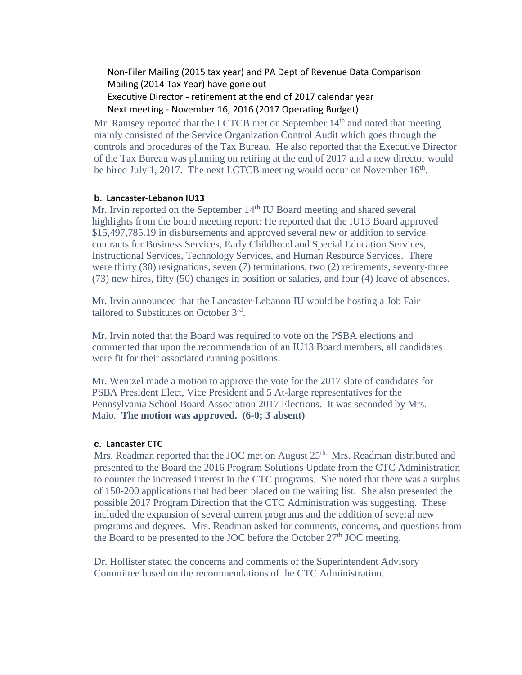Non-Filer Mailing (2015 tax year) and PA Dept of Revenue Data Comparison Mailing (2014 Tax Year) have gone out Executive Director - retirement at the end of 2017 calendar year Next meeting - November 16, 2016 (2017 Operating Budget)

Mr. Ramsey reported that the LCTCB met on September  $14<sup>th</sup>$  and noted that meeting mainly consisted of the Service Organization Control Audit which goes through the controls and procedures of the Tax Bureau. He also reported that the Executive Director of the Tax Bureau was planning on retiring at the end of 2017 and a new director would be hired July 1, 2017. The next LCTCB meeting would occur on November  $16<sup>th</sup>$ .

#### **b. Lancaster-Lebanon IU13**

Mr. Irvin reported on the September  $14<sup>th</sup>$  IU Board meeting and shared several highlights from the board meeting report: He reported that the IU13 Board approved \$15,497,785.19 in disbursements and approved several new or addition to service contracts for Business Services, Early Childhood and Special Education Services, Instructional Services, Technology Services, and Human Resource Services. There were thirty (30) resignations, seven (7) terminations, two (2) retirements, seventy-three (73) new hires, fifty (50) changes in position or salaries, and four (4) leave of absences.

Mr. Irvin announced that the Lancaster-Lebanon IU would be hosting a Job Fair tailored to Substitutes on October 3rd.

Mr. Irvin noted that the Board was required to vote on the PSBA elections and commented that upon the recommendation of an IU13 Board members, all candidates were fit for their associated running positions.

Mr. Wentzel made a motion to approve the vote for the 2017 slate of candidates for PSBA President Elect, Vice President and 5 At-large representatives for the Pennsylvania School Board Association 2017 Elections. It was seconded by Mrs. Maio. **The motion was approved. (6-0; 3 absent)**

#### **c. Lancaster CTC**

Mrs. Readman reported that the JOC met on August 25<sup>th.</sup> Mrs. Readman distributed and presented to the Board the 2016 Program Solutions Update from the CTC Administration to counter the increased interest in the CTC programs. She noted that there was a surplus of 150-200 applications that had been placed on the waiting list. She also presented the possible 2017 Program Direction that the CTC Administration was suggesting. These included the expansion of several current programs and the addition of several new programs and degrees. Mrs. Readman asked for comments, concerns, and questions from the Board to be presented to the JOC before the October  $27<sup>th</sup>$  JOC meeting.

Dr. Hollister stated the concerns and comments of the Superintendent Advisory Committee based on the recommendations of the CTC Administration.